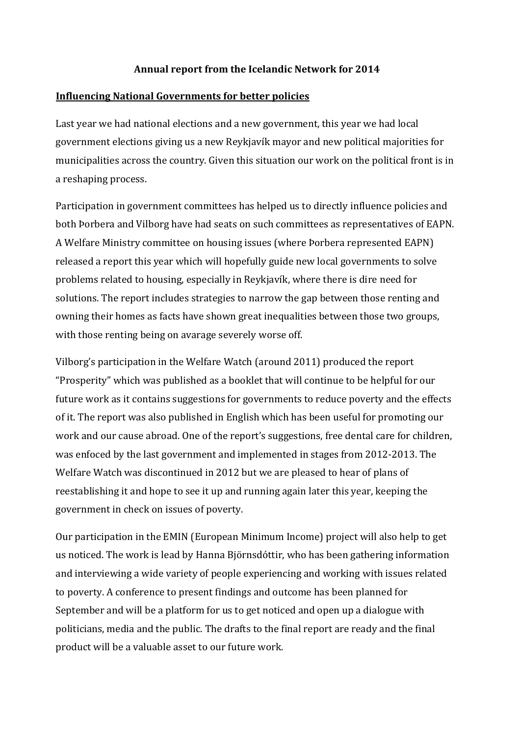### **Annual report from the Icelandic Network for 2014**

### **Influencing National Governments for better policies**

Last year we had national elections and a new government, this year we had local government elections giving us a new Reykjavík mayor and new political majorities for municipalities across the country. Given this situation our work on the political front is in a reshaping process.

Participation in government committees has helped us to directly influence policies and both Þorbera and Vilborg have had seats on such committees as representatives of EAPN. A Welfare Ministry committee on housing issues (where Þorbera represented EAPN) released a report this year which will hopefully guide new local governments to solve problems related to housing, especially in Reykjavík, where there is dire need for solutions. The report includes strategies to narrow the gap between those renting and owning their homes as facts have shown great inequalities between those two groups, with those renting being on avarage severely worse off.

Vilborg's participation in the Welfare Watch (around 2011) produced the report "Prosperity" which was published as a booklet that will continue to be helpful for our future work as it contains suggestions for governments to reduce poverty and the effects of it. The report was also published in English which has been useful for promoting our work and our cause abroad. One of the report's suggestions, free dental care for children, was enfoced by the last government and implemented in stages from 2012-2013. The Welfare Watch was discontinued in 2012 but we are pleased to hear of plans of reestablishing it and hope to see it up and running again later this year, keeping the government in check on issues of poverty.

Our participation in the EMIN (European Minimum Income) project will also help to get us noticed. The work is lead by Hanna Björnsdóttir, who has been gathering information and interviewing a wide variety of people experiencing and working with issues related to poverty. A conference to present findings and outcome has been planned for September and will be a platform for us to get noticed and open up a dialogue with politicians, media and the public. The drafts to the final report are ready and the final product will be a valuable asset to our future work.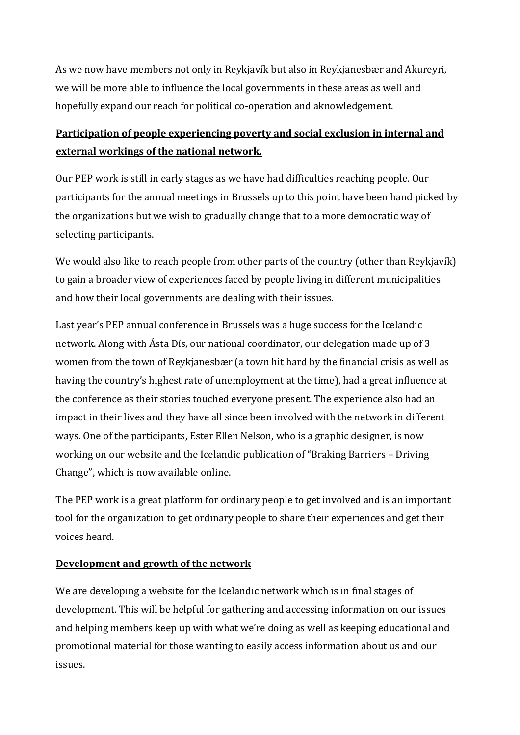As we now have members not only in Reykjavík but also in Reykjanesbær and Akureyri, we will be more able to influence the local governments in these areas as well and hopefully expand our reach for political co-operation and aknowledgement.

# **Participation of people experiencing poverty and social exclusion in internal and external workings of the national network.**

Our PEP work is still in early stages as we have had difficulties reaching people. Our participants for the annual meetings in Brussels up to this point have been hand picked by the organizations but we wish to gradually change that to a more democratic way of selecting participants.

We would also like to reach people from other parts of the country (other than Reykjavík) to gain a broader view of experiences faced by people living in different municipalities and how their local governments are dealing with their issues.

Last year's PEP annual conference in Brussels was a huge success for the Icelandic network. Along with Ásta Dís, our national coordinator, our delegation made up of 3 women from the town of Reykjanesbær (a town hit hard by the financial crisis as well as having the country's highest rate of unemployment at the time), had a great influence at the conference as their stories touched everyone present. The experience also had an impact in their lives and they have all since been involved with the network in different ways. One of the participants, Ester Ellen Nelson, who is a graphic designer, is now working on our website and the Icelandic publication of "Braking Barriers – Driving Change", which is now available online.

The PEP work is a great platform for ordinary people to get involved and is an important tool for the organization to get ordinary people to share their experiences and get their voices heard.

## **Development and growth of the network**

We are developing a website for the Icelandic network which is in final stages of development. This will be helpful for gathering and accessing information on our issues and helping members keep up with what we're doing as well as keeping educational and promotional material for those wanting to easily access information about us and our issues.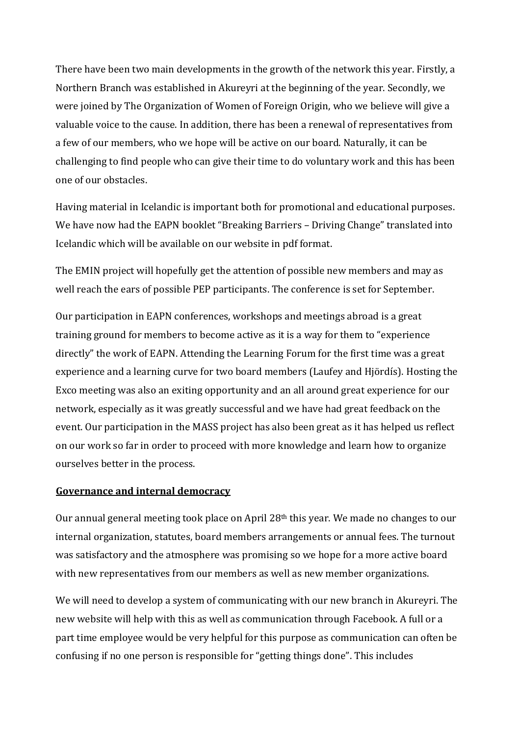There have been two main developments in the growth of the network this year. Firstly, a Northern Branch was established in Akureyri at the beginning of the year. Secondly, we were joined by The Organization of Women of Foreign Origin, who we believe will give a valuable voice to the cause. In addition, there has been a renewal of representatives from a few of our members, who we hope will be active on our board. Naturally, it can be challenging to find people who can give their time to do voluntary work and this has been one of our obstacles.

Having material in Icelandic is important both for promotional and educational purposes. We have now had the EAPN booklet "Breaking Barriers – Driving Change" translated into Icelandic which will be available on our website in pdf format.

The EMIN project will hopefully get the attention of possible new members and may as well reach the ears of possible PEP participants. The conference is set for September.

Our participation in EAPN conferences, workshops and meetings abroad is a great training ground for members to become active as it is a way for them to "experience directly" the work of EAPN. Attending the Learning Forum for the first time was a great experience and a learning curve for two board members (Laufey and Hjördís). Hosting the Exco meeting was also an exiting opportunity and an all around great experience for our network, especially as it was greatly successful and we have had great feedback on the event. Our participation in the MASS project has also been great as it has helped us reflect on our work so far in order to proceed with more knowledge and learn how to organize ourselves better in the process.

### **Governance and internal democracy**

Our annual general meeting took place on April 28th this year. We made no changes to our internal organization, statutes, board members arrangements or annual fees. The turnout was satisfactory and the atmosphere was promising so we hope for a more active board with new representatives from our members as well as new member organizations.

We will need to develop a system of communicating with our new branch in Akureyri. The new website will help with this as well as communication through Facebook. A full or a part time employee would be very helpful for this purpose as communication can often be confusing if no one person is responsible for "getting things done". This includes